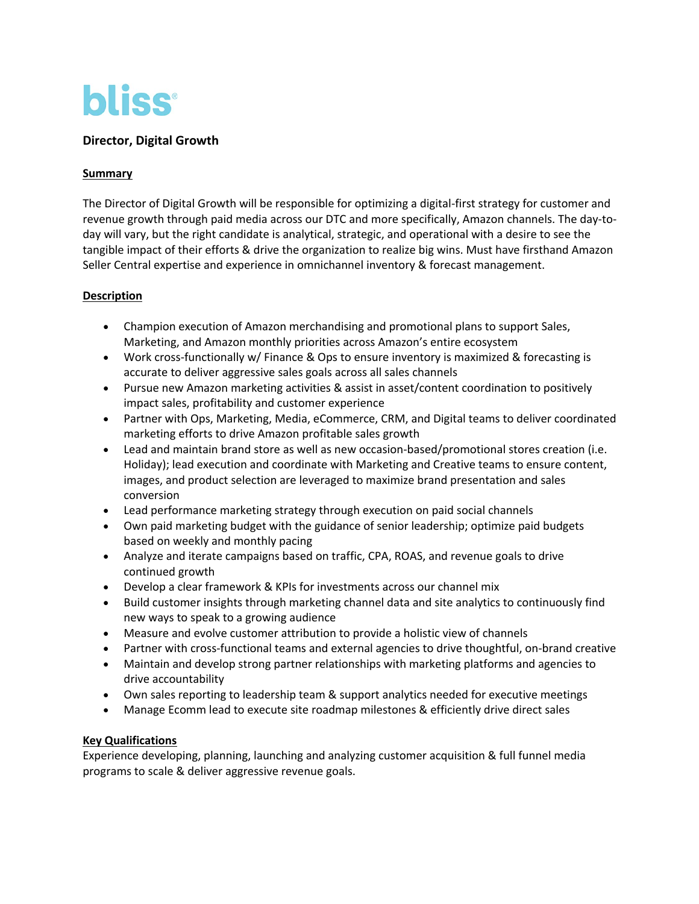

# **Director, Digital Growth**

#### **Summary**

The Director of Digital Growth will be responsible for optimizing a digital-first strategy for customer and revenue growth through paid media across our DTC and more specifically, Amazon channels. The day-today will vary, but the right candidate is analytical, strategic, and operational with a desire to see the tangible impact of their efforts & drive the organization to realize big wins. Must have firsthand Amazon Seller Central expertise and experience in omnichannel inventory & forecast management.

### **Description**

- Champion execution of Amazon merchandising and promotional plans to support Sales, Marketing, and Amazon monthly priorities across Amazon's entire ecosystem
- Work cross-functionally w/ Finance & Ops to ensure inventory is maximized & forecasting is accurate to deliver aggressive sales goals across all sales channels
- Pursue new Amazon marketing activities & assist in asset/content coordination to positively impact sales, profitability and customer experience
- Partner with Ops, Marketing, Media, eCommerce, CRM, and Digital teams to deliver coordinated marketing efforts to drive Amazon profitable sales growth
- Lead and maintain brand store as well as new occasion-based/promotional stores creation (i.e. Holiday); lead execution and coordinate with Marketing and Creative teams to ensure content, images, and product selection are leveraged to maximize brand presentation and sales conversion
- Lead performance marketing strategy through execution on paid social channels
- Own paid marketing budget with the guidance of senior leadership; optimize paid budgets based on weekly and monthly pacing
- Analyze and iterate campaigns based on traffic, CPA, ROAS, and revenue goals to drive continued growth
- Develop a clear framework & KPIs for investments across our channel mix
- Build customer insights through marketing channel data and site analytics to continuously find new ways to speak to a growing audience
- Measure and evolve customer attribution to provide a holistic view of channels
- Partner with cross-functional teams and external agencies to drive thoughtful, on-brand creative
- Maintain and develop strong partner relationships with marketing platforms and agencies to drive accountability
- Own sales reporting to leadership team & support analytics needed for executive meetings
- Manage Ecomm lead to execute site roadmap milestones & efficiently drive direct sales

### **Key Qualifications**

Experience developing, planning, launching and analyzing customer acquisition & full funnel media programs to scale & deliver aggressive revenue goals.